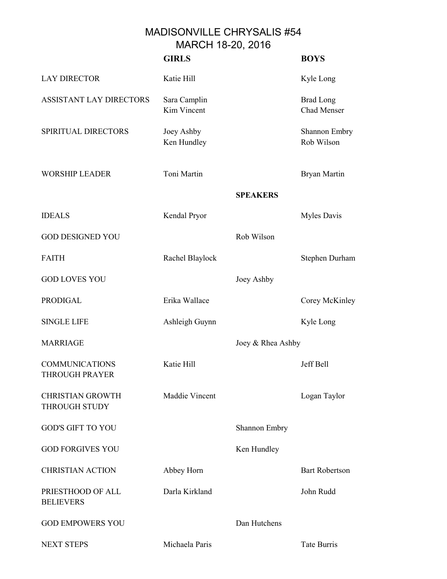## MADISONVILLE CHRYSALIS #54 MARCH 18-20, 2016

|                                          | <b>GIRLS</b>                |                   | <b>BOYS</b>                     |
|------------------------------------------|-----------------------------|-------------------|---------------------------------|
| <b>LAY DIRECTOR</b>                      | Katie Hill                  |                   | Kyle Long                       |
| ASSISTANT LAY DIRECTORS                  | Sara Camplin<br>Kim Vincent |                   | <b>Brad Long</b><br>Chad Menser |
| SPIRITUAL DIRECTORS                      | Joey Ashby<br>Ken Hundley   |                   | Shannon Embry<br>Rob Wilson     |
| <b>WORSHIP LEADER</b>                    | Toni Martin                 |                   | Bryan Martin                    |
|                                          |                             | <b>SPEAKERS</b>   |                                 |
| <b>IDEALS</b>                            | Kendal Pryor                |                   | Myles Davis                     |
| <b>GOD DESIGNED YOU</b>                  |                             | Rob Wilson        |                                 |
| <b>FAITH</b>                             | Rachel Blaylock             |                   | Stephen Durham                  |
| <b>GOD LOVES YOU</b>                     |                             | Joey Ashby        |                                 |
| <b>PRODIGAL</b>                          | Erika Wallace               |                   | Corey McKinley                  |
| <b>SINGLE LIFE</b>                       | Ashleigh Guynn              |                   | Kyle Long                       |
| <b>MARRIAGE</b>                          |                             | Joey & Rhea Ashby |                                 |
| <b>COMMUNICATIONS</b><br>THROUGH PRAYER  | Katie Hill                  |                   | Jeff Bell                       |
| <b>CHRISTIAN GROWTH</b><br>THROUGH STUDY | Maddie Vincent              |                   | Logan Taylor                    |
| <b>GOD'S GIFT TO YOU</b>                 |                             | Shannon Embry     |                                 |
| <b>GOD FORGIVES YOU</b>                  |                             | Ken Hundley       |                                 |
| <b>CHRISTIAN ACTION</b>                  | Abbey Horn                  |                   | <b>Bart Robertson</b>           |
| PRIESTHOOD OF ALL<br><b>BELIEVERS</b>    | Darla Kirkland              |                   | John Rudd                       |
| <b>GOD EMPOWERS YOU</b>                  |                             | Dan Hutchens      |                                 |
| <b>NEXT STEPS</b>                        | Michaela Paris              |                   | <b>Tate Burris</b>              |